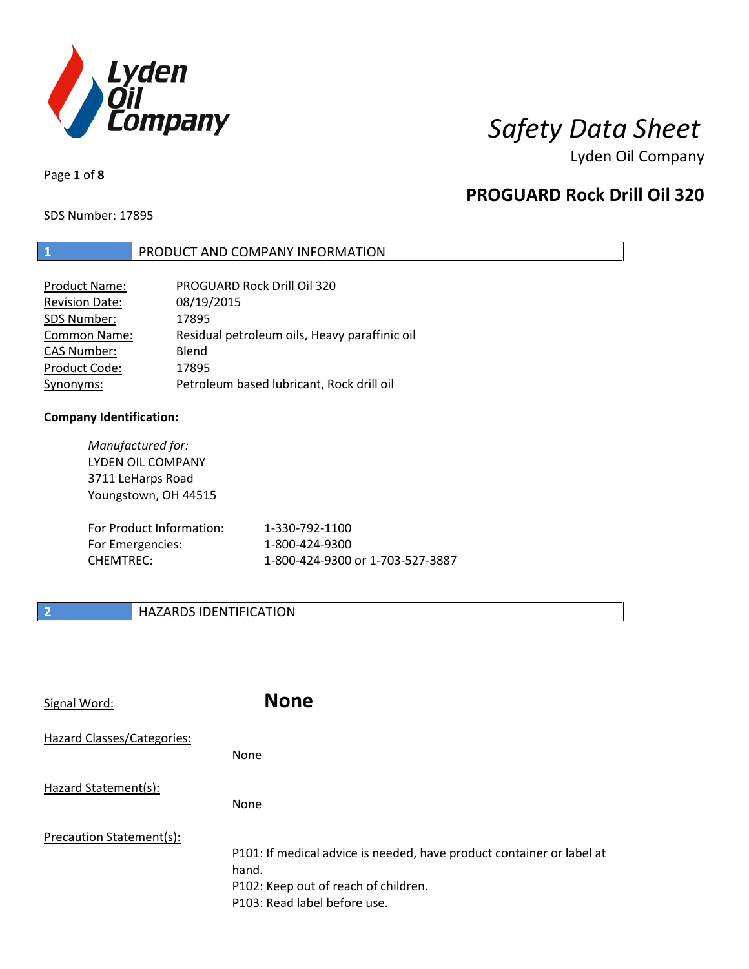

Page **1** of **8**

# **PROGUARD Rock Drill Oil 320**

SDS Number: 17895

## **1** PRODUCT AND COMPANY INFORMATION

| Product Name:         | PROGUARD Rock Drill Oil 320                   |
|-----------------------|-----------------------------------------------|
| <b>Revision Date:</b> | 08/19/2015                                    |
| SDS Number:           | 17895                                         |
| Common Name:          | Residual petroleum oils, Heavy paraffinic oil |
| <b>CAS Number:</b>    | Blend                                         |
| Product Code:         | 17895                                         |
| Synonyms:             | Petroleum based lubricant, Rock drill oil     |

### **Company Identification:**

*Manufactured for:* LYDEN OIL COMPANY 3711 LeHarps Road Youngstown, OH 44515 For Product Information: 1-330-792-1100 For Emergencies: 1-800-424-9300 CHEMTREC: 1-800-424-9300 or 1-703-527-3887

## **2 HAZARDS IDENTIFICATION**

| Signal Word:               | <b>None</b>                                                                                                                                            |
|----------------------------|--------------------------------------------------------------------------------------------------------------------------------------------------------|
| Hazard Classes/Categories: | None                                                                                                                                                   |
| Hazard Statement(s):       | None                                                                                                                                                   |
| Precaution Statement(s):   | P101: If medical advice is needed, have product container or label at<br>hand.<br>P102: Keep out of reach of children.<br>P103: Read label before use. |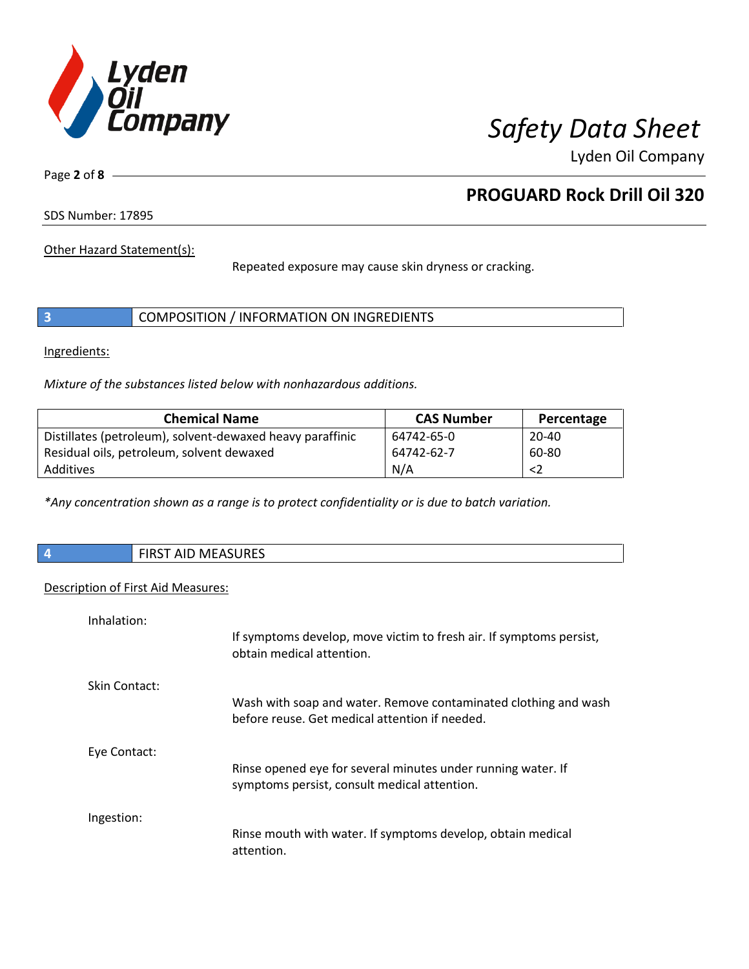

Page **2** of **8**

# **PROGUARD Rock Drill Oil 320**

SDS Number: 17895

Other Hazard Statement(s):

Repeated exposure may cause skin dryness or cracking.

|  | COMPOSITION / INFORMATION ON INGREDIENTS |
|--|------------------------------------------|
|--|------------------------------------------|

Ingredients:

*Mixture of the substances listed below with nonhazardous additions.*

| <b>Chemical Name</b>                                      | <b>CAS Number</b> | Percentage |
|-----------------------------------------------------------|-------------------|------------|
| Distillates (petroleum), solvent-dewaxed heavy paraffinic | 64742-65-0        | $20 - 40$  |
| Residual oils, petroleum, solvent dewaxed                 | 64742-62-7        | 60-80      |
| Additives                                                 | N/A               | <2         |

*\*Any concentration shown as a range is to protect confidentiality or is due to batch variation.*

| <b>FIRST AID MEASURES</b> |
|---------------------------|
|                           |

### Description of First Aid Measures:

| Inhalation:   |                                                                                                                   |
|---------------|-------------------------------------------------------------------------------------------------------------------|
|               | If symptoms develop, move victim to fresh air. If symptoms persist,<br>obtain medical attention.                  |
| Skin Contact: |                                                                                                                   |
|               | Wash with soap and water. Remove contaminated clothing and wash<br>before reuse. Get medical attention if needed. |
| Eye Contact:  |                                                                                                                   |
|               | Rinse opened eye for several minutes under running water. If<br>symptoms persist, consult medical attention.      |
| Ingestion:    |                                                                                                                   |
|               | Rinse mouth with water. If symptoms develop, obtain medical<br>attention.                                         |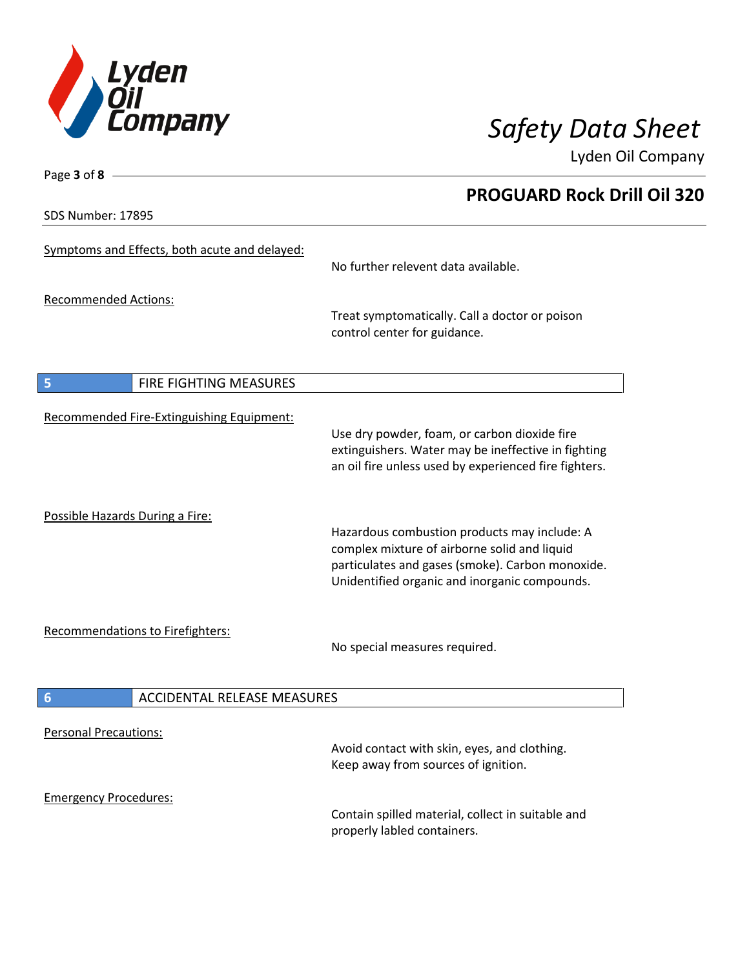

**PROGUARD Rock Drill Oil 320**

Lyden Oil Company

SDS Number: 17895

Page **3** of **8**

| Symptoms and Effects, both acute and delayed:         | No further relevent data available.                                                                                                                                                               |
|-------------------------------------------------------|---------------------------------------------------------------------------------------------------------------------------------------------------------------------------------------------------|
| <b>Recommended Actions:</b>                           | Treat symptomatically. Call a doctor or poison<br>control center for guidance.                                                                                                                    |
| 5<br>FIRE FIGHTING MEASURES                           |                                                                                                                                                                                                   |
| Recommended Fire-Extinguishing Equipment:             | Use dry powder, foam, or carbon dioxide fire<br>extinguishers. Water may be ineffective in fighting<br>an oil fire unless used by experienced fire fighters.                                      |
| Possible Hazards During a Fire:                       | Hazardous combustion products may include: A<br>complex mixture of airborne solid and liquid<br>particulates and gases (smoke). Carbon monoxide.<br>Unidentified organic and inorganic compounds. |
| Recommendations to Firefighters:                      | No special measures required.                                                                                                                                                                     |
| <b>ACCIDENTAL RELEASE MEASURES</b><br>$6\phantom{1}6$ |                                                                                                                                                                                                   |
| <b>Personal Precautions:</b>                          | Avoid contact with skin, eyes, and clothing.<br>Keep away from sources of ignition.                                                                                                               |
| <b>Emergency Procedures:</b>                          | Contain spilled material, collect in suitable and<br>properly labled containers.                                                                                                                  |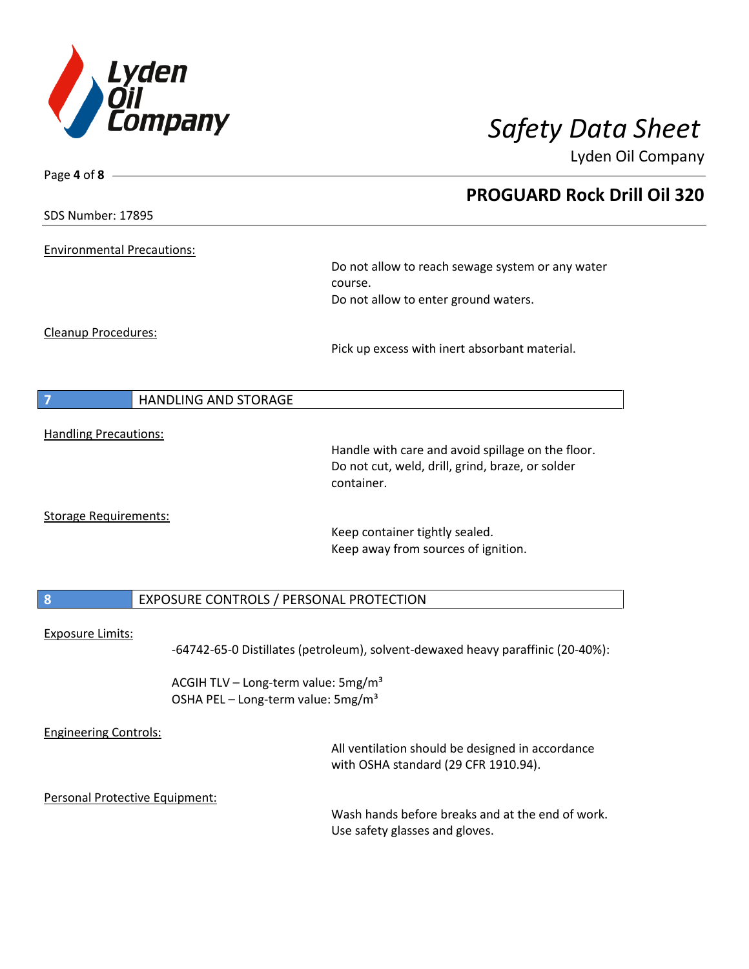

| Page 4 of 8 -                                                                                     |                                                                                                                     |
|---------------------------------------------------------------------------------------------------|---------------------------------------------------------------------------------------------------------------------|
|                                                                                                   | <b>PROGUARD Rock Drill Oil 320</b>                                                                                  |
| <b>SDS Number: 17895</b>                                                                          |                                                                                                                     |
| <b>Environmental Precautions:</b>                                                                 | Do not allow to reach sewage system or any water<br>course.                                                         |
|                                                                                                   | Do not allow to enter ground waters.                                                                                |
| <b>Cleanup Procedures:</b>                                                                        | Pick up excess with inert absorbant material.                                                                       |
| $\overline{7}$<br><b>HANDLING AND STORAGE</b>                                                     |                                                                                                                     |
| <b>Handling Precautions:</b>                                                                      | Handle with care and avoid spillage on the floor.<br>Do not cut, weld, drill, grind, braze, or solder<br>container. |
| <b>Storage Requirements:</b>                                                                      | Keep container tightly sealed.<br>Keep away from sources of ignition.                                               |
| 8<br>EXPOSURE CONTROLS / PERSONAL PROTECTION                                                      |                                                                                                                     |
| <b>Exposure Limits:</b>                                                                           | -64742-65-0 Distillates (petroleum), solvent-dewaxed heavy paraffinic (20-40%):                                     |
| ACGIH TLV - Long-term value: 5mg/m <sup>3</sup><br>OSHA PEL - Long-term value: 5mg/m <sup>3</sup> |                                                                                                                     |
| <b>Engineering Controls:</b>                                                                      | All ventilation should be designed in accordance<br>with OSHA standard (29 CFR 1910.94).                            |
| Personal Protective Equipment:                                                                    | Wash hands before breaks and at the end of work.<br>Use safety glasses and gloves.                                  |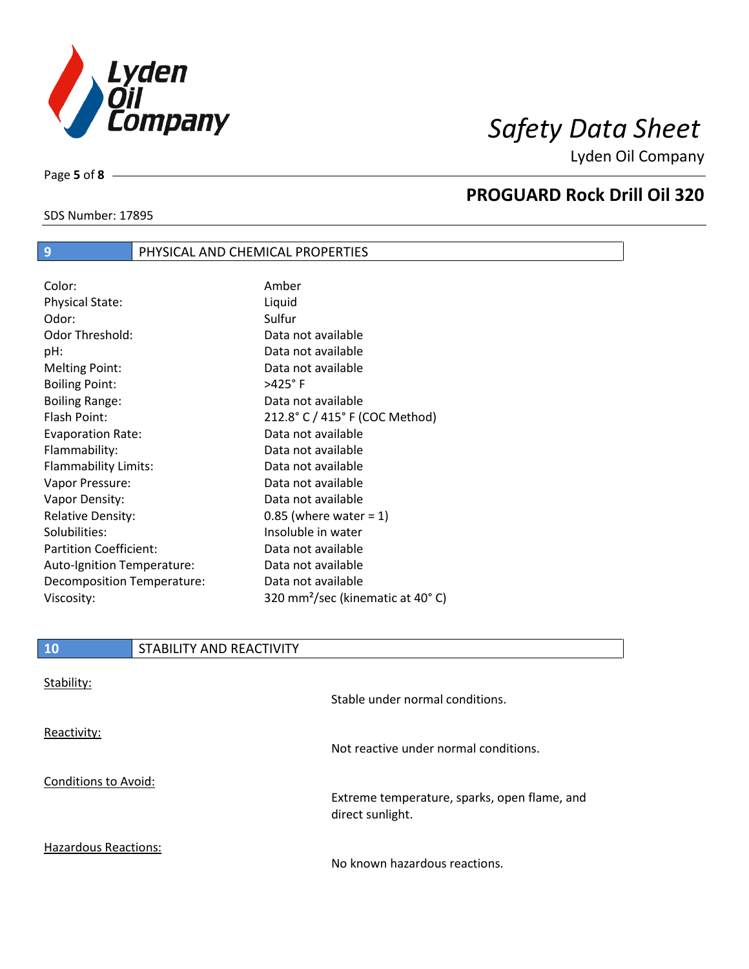

SDS Number: 17895

Page **5** of **8**

 $\overline{\phantom{a}}$ 

# **PROGUARD Rock Drill Oil 320**

| $\overline{9}$                | PHYSICAL AND CHEMICAL PROPERTIES |                                              |
|-------------------------------|----------------------------------|----------------------------------------------|
|                               |                                  |                                              |
| Color:                        |                                  | Amber                                        |
| <b>Physical State:</b>        |                                  | Liquid                                       |
| Odor:                         |                                  | Sulfur                                       |
| Odor Threshold:               |                                  | Data not available                           |
| pH:                           |                                  | Data not available                           |
| <b>Melting Point:</b>         |                                  | Data not available                           |
| <b>Boiling Point:</b>         |                                  | $>425^\circ$ F                               |
| <b>Boiling Range:</b>         |                                  | Data not available                           |
| Flash Point:                  |                                  | 212.8° C / 415° F (COC Method)               |
| <b>Evaporation Rate:</b>      |                                  | Data not available                           |
| Flammability:                 |                                  | Data not available                           |
| Flammability Limits:          |                                  | Data not available                           |
| Vapor Pressure:               |                                  | Data not available                           |
| Vapor Density:                |                                  | Data not available                           |
| <b>Relative Density:</b>      |                                  | $0.85$ (where water = 1)                     |
| Solubilities:                 |                                  | Insoluble in water                           |
| <b>Partition Coefficient:</b> |                                  | Data not available                           |
| Auto-Ignition Temperature:    |                                  | Data not available                           |
| Decomposition Temperature:    |                                  | Data not available                           |
| Viscosity:                    |                                  | 320 mm <sup>2</sup> /sec (kinematic at 40°C) |
|                               |                                  |                                              |

| <b>10</b>                   | STABILITY AND REACTIVITY |                                                                  |
|-----------------------------|--------------------------|------------------------------------------------------------------|
| Stability:                  |                          | Stable under normal conditions.                                  |
| Reactivity:                 |                          | Not reactive under normal conditions.                            |
| <b>Conditions to Avoid:</b> |                          | Extreme temperature, sparks, open flame, and<br>direct sunlight. |
| <b>Hazardous Reactions:</b> |                          |                                                                  |

No known hazardous reactions.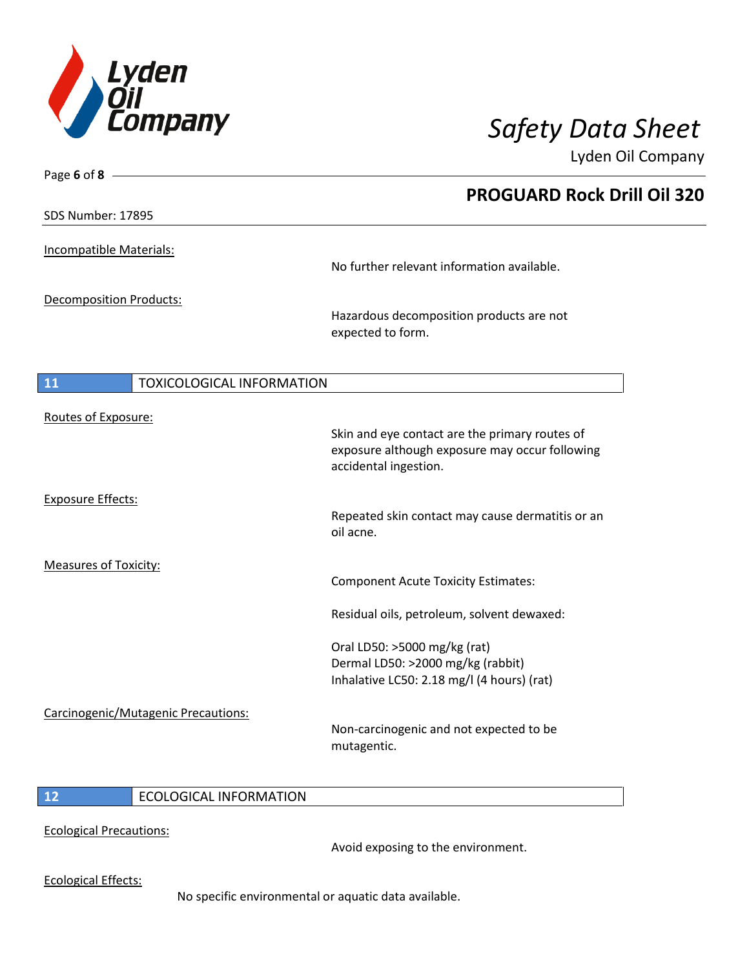

| Page 6 of 8 $-$                               |                                                                         |
|-----------------------------------------------|-------------------------------------------------------------------------|
|                                               | <b>PROGUARD Rock Drill Oil 320</b>                                      |
| SDS Number: 17895                             |                                                                         |
| Incompatible Materials:                       |                                                                         |
|                                               | No further relevant information available.                              |
| <b>Decomposition Products:</b>                |                                                                         |
|                                               | Hazardous decomposition products are not<br>expected to form.           |
| <b>11</b><br><b>TOXICOLOGICAL INFORMATION</b> |                                                                         |
|                                               |                                                                         |
| Routes of Exposure:                           | Skin and eye contact are the primary routes of                          |
|                                               | exposure although exposure may occur following<br>accidental ingestion. |
| <b>Exposure Effects:</b>                      |                                                                         |
|                                               | Repeated skin contact may cause dermatitis or an<br>oil acne.           |
| <b>Measures of Toxicity:</b>                  |                                                                         |
|                                               | <b>Component Acute Toxicity Estimates:</b>                              |
|                                               | Residual oils, petroleum, solvent dewaxed:                              |
|                                               | Oral LD50: >5000 mg/kg (rat)                                            |
|                                               | Dermal LD50: >2000 mg/kg (rabbit)                                       |
|                                               | Inhalative LC50: 2.18 mg/l (4 hours) (rat)                              |
| Carcinogenic/Mutagenic Precautions:           |                                                                         |
|                                               | Non-carcinogenic and not expected to be<br>mutagentic.                  |
|                                               |                                                                         |

## **12** ECOLOGICAL INFORMATION

Ecological Precautions:

Avoid exposing to the environment.

Ecological Effects:

No specific environmental or aquatic data available.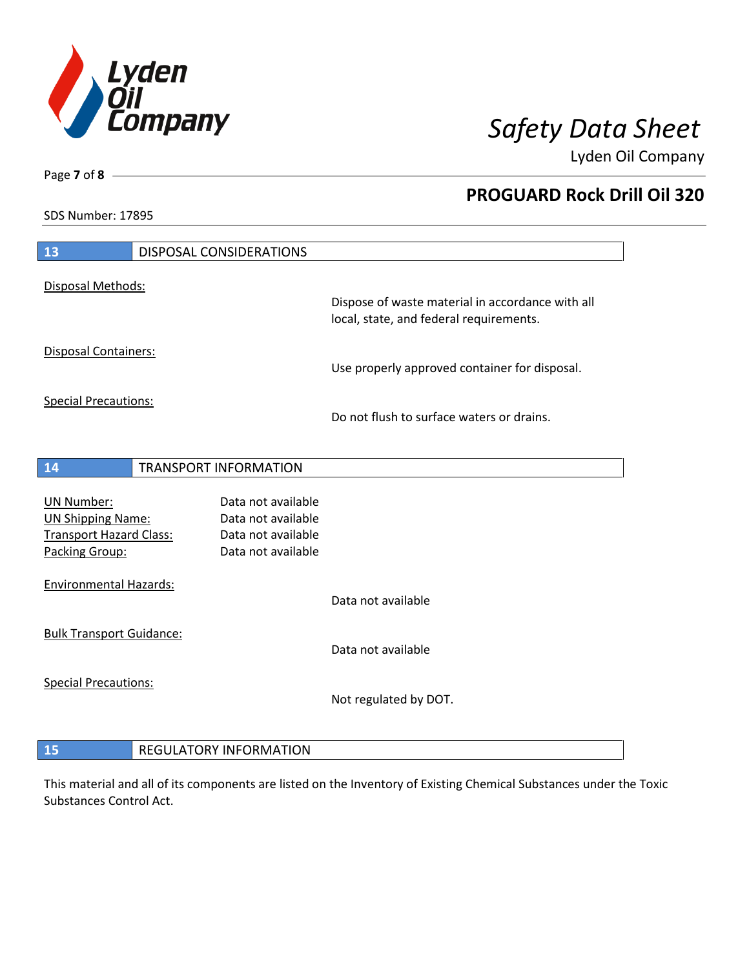

**PROGUARD Rock Drill Oil 320**

Lyden Oil Company

SDS Number: 17895

Page **7** of **8**

| 13                                                                                                | <b>DISPOSAL CONSIDERATIONS</b>                                                       |                                                  |
|---------------------------------------------------------------------------------------------------|--------------------------------------------------------------------------------------|--------------------------------------------------|
| Disposal Methods:                                                                                 |                                                                                      | Dispose of waste material in accordance with all |
|                                                                                                   |                                                                                      | local, state, and federal requirements.          |
| Disposal Containers:                                                                              |                                                                                      | Use properly approved container for disposal.    |
| <b>Special Precautions:</b>                                                                       |                                                                                      | Do not flush to surface waters or drains.        |
|                                                                                                   |                                                                                      |                                                  |
| 14                                                                                                | TRANSPORT INFORMATION                                                                |                                                  |
| <b>UN Number:</b><br><b>UN Shipping Name:</b><br><b>Transport Hazard Class:</b><br>Packing Group: | Data not available<br>Data not available<br>Data not available<br>Data not available |                                                  |
| <b>Environmental Hazards:</b>                                                                     |                                                                                      | Data not available                               |
| <b>Bulk Transport Guidance:</b>                                                                   |                                                                                      | Data not available                               |
| <b>Special Precautions:</b>                                                                       |                                                                                      | Not regulated by DOT.                            |
| 15                                                                                                | <b>REGULATORY INFORMATION</b>                                                        |                                                  |

This material and all of its components are listed on the Inventory of Existing Chemical Substances under the Toxic Substances Control Act.